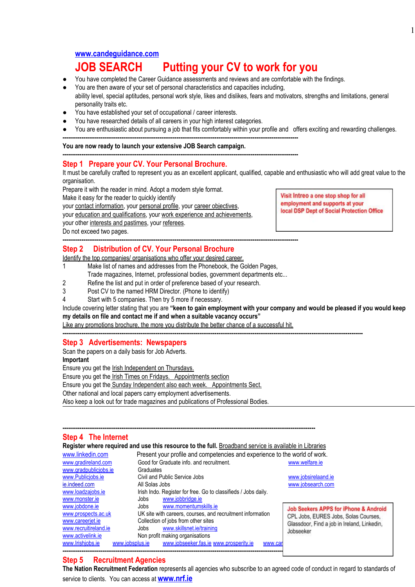# **[www.candeguidance.com](http://www.candeguidance.com/)**

# **JOB SEARCH Putting your CV to work for you**

- You have completed the Career Guidance assessments and reviews and are comfortable with the findings.
- You are then aware of your set of personal characteristics and capacities including, ability level, special aptitudes, personal work style, likes and dislikes, fears and motivators, strengths and limitations, general personality traits etc.
- You have established your set of occupational / career interests.
- You have researched details of all careers in your high interest categories.
- You are enthusiastic about pursuing a job that fits comfortably within your profile and offers exciting and rewarding challenges. **----------------------------------------------------------------------------------------------------------------------------**

**You are now ready to launch your extensive JOB Search campaign.**

**----------------------------------------------------------------------------------------------------------------------------**

## **Step 1 Prepare your CV. Your Personal Brochure.**

It must be carefully crafted to represent you as an excellent applicant, qualified, capable and enthusiastic who will add great value to the organisation.

Prepare it with the reader in mind. Adopt a modern style format.

Make it easy for the reader to quickly identify

your contact information, your personal profile, your career objectives,

your education and qualifications, your work experience and achievements,

your other interests and pastimes, your referees.

Do not exceed two pages.

#### **---------------------------------------------------------------------------------------------------------------------------- Step 2 Distribution of CV. Your Personal Brochure**

Identify the top companies/ organisations who offer your desired career.

1 Make list of names and addresses from the Phonebook, the Golden Pages,

Trade magazines, Internet, professional bodies, government departments etc...

- 2 Refine the list and put in order of preference based of your research.
- 3 Post CV to the named HRM Director. (Phone to identify)

4 Start with 5 companies. Then try 5 more if necessary.

Include covering letter stating that you are "keen to gain employment with your company and would be pleased if you would keep **my details on file and contact me if and when a suitable vacancy occurs"**

Like any promotions brochure, the more you distribute the better chance of a successful hit.

**--------------------------------------------------------------------------------------------------------------------------------------------------------------**

# **Step 3 Advertisements: Newspapers**

Scan the papers on a daily basis for Job Adverts. **Important**

Ensure you get the **Irish Independent on Thursdays.** 

Ensure you get the Irish Times on Fridays. Appointments section

Ensure you get the Sunday Independent also each week. Appointments Sect.

Other national and local papers carry employment advertisements.

Also keep a look out for trade magazines and publications of Professional Bodies.

#### **Step 4 The Internet**

**Register where required and use this resource to the full.** Broadband service is available in Libraries

**-------------------------------------------------------------------------------------------------------------------------------------**

**---------------------------------------------------------------------------------------------------------------------------**

| www.linkedin.com      | Present your profile and competencies and experience to the world of work. |                                                                                                  |
|-----------------------|----------------------------------------------------------------------------|--------------------------------------------------------------------------------------------------|
| www.gradireland.com   | Good for Graduate info. and recruitment.                                   | www.welfare.ie                                                                                   |
| www.gradpubliciobs.ie | Graduates                                                                  |                                                                                                  |
| www.Publiciobs.ie     | Civil and Public Service Jobs                                              | www.jobsirelaand.ie                                                                              |
| ie.indeed.com         | All Solas Jobs                                                             | www.jobsearch.com                                                                                |
| www.loadzajobs.ie     | Irish Indo. Register for free. Go to classifieds / Jobs daily.             |                                                                                                  |
| www.monster.ie        | www.jobbridge.ie<br>Jobs                                                   |                                                                                                  |
| www.jobdone.ie        | www.momentumskills.ie<br>Jobs                                              | <b>Job Seekers APPS for iPhone &amp; Androi</b>                                                  |
| www.prospects.ac.uk   | UK site with careers, courses, and recruitment information                 | CPL Jobs, EURES Jobs, Solas Courses,<br>Glassdoor, Find a job in Ireland, Linkedin,<br>Jobseeker |
| www.careerjet.ie      | Collection of jobs from other sites                                        |                                                                                                  |
| www.recruitireland.ie | www.skillsnet.ie/training<br>Jobs                                          |                                                                                                  |
| www.activelink.ie     | Non profit making organisations                                            |                                                                                                  |
| www.lrishjobs.ie      | www.jobseeker.fas.ie www.prosperity.ie<br>www.jobsplus.je<br>www.carl      |                                                                                                  |

# **Step 5 Recruitment Agencies**

**The Nation Recruitment Federation** represents all agencies who subscribe to an agreed code of conduct in regard to standards of service to clients. You can access at **[www.nrf.ie](http://www.nrf.ie/)**

Visit Intreo a one stop shop for all employment and supports at your local DSP Dept of Social Protection Office

ne & Android